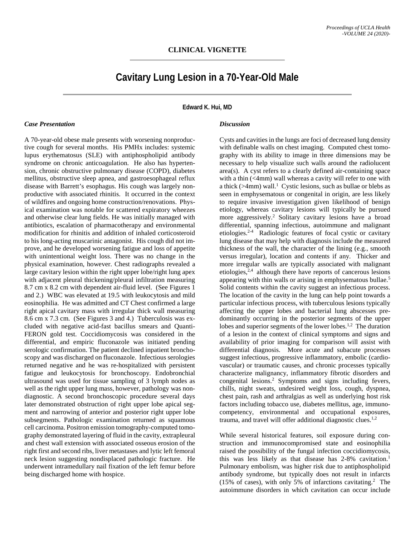## **CLINICAL VIGNETTE**

# **Cavitary Lung Lesion in a 70-Year-Old Male**

**Edward K. Hui, MD**

#### *Case Presentation*

A 70-year-old obese male presents with worsening nonproductive cough for several months. His PMHx includes: systemic lupus erythematosus (SLE) with antiphospholipid antibody syndrome on chronic anticoagulation. He also has hypertension, chronic obstructive pulmonary disease (COPD), diabetes mellitus, obstructive sleep apnea, and gastroesophageal reflux disease with Barrett's esophagus. His cough was largely nonproductive with associated rhinitis. It occurred in the context of wildfires and ongoing home construction/renovations. Physical examination was notable for scattered expiratory wheezes and otherwise clear lung fields. He was initially managed with antibiotics, escalation of pharmacotherapy and environmental modification for rhinitis and addition of inhaled corticosteroid to his long-acting muscarinic antagonist. His cough did not improve, and he developed worsening fatigue and loss of appetite with unintentional weight loss. There was no change in the physical examination, however. Chest radiographs revealed a large cavitary lesion within the right upper lobe/right lung apex with adjacent pleural thickening/pleural infiltration measuring 8.7 cm x 8.2 cm with dependent air-fluid level. (See Figures 1 and 2.) WBC was elevated at 19.5 with leukocytosis and mild eosinophilia. He was admitted and CT Chest confirmed a large right apical cavitary mass with irregular thick wall measuring 8.6 cm x 7.3 cm. (See Figures 3 and 4.) Tuberculosis was excluded with negative acid-fast bacillus smears and Quanti-FERON gold test. Coccidiomycosis was considered in the differential, and empiric fluconazole was initiated pending serologic confirmation. The patient declined inpatient bronchoscopy and was discharged on fluconazole. Infectious serologies returned negative and he was re-hospitalized with persistent fatigue and leukocytosis for bronchoscopy. Endobronchial ultrasound was used for tissue sampling of 3 lymph nodes as well as the right upper lung mass, however, pathology was nondiagnostic. A second bronchoscopic procedure several days later demonstrated obstruction of right upper lobe apical segment and narrowing of anterior and posterior right upper lobe subsegments. Pathologic examination returned as squamous cell carcinoma. Positron emission tomography-computed tomography demonstrated layering of fluid in the cavity, extrapleural and chest wall extension with associated osseous erosion of the right first and second ribs, liver metastases and lytic left femoral neck lesion suggesting nondisplaced pathologic fracture. He underwent intramedullary nail fixation of the left femur before being discharged home with hospice.

## *Discussion*

Cysts and cavities in the lungs are foci of decreased lung density with definable walls on chest imaging. Computed chest tomography with its ability to image in three dimensions may be necessary to help visualize such walls around the radiolucent area(s). A cyst refers to a clearly defined air-containing space with a thin (<4mm) wall whereas a cavity will refer to one with a thick  $($ >4mm) wall.<sup>1</sup> Cystic lesions, such as bullae or blebs as seen in emphysematous or congenital in origin, are less likely to require invasive investigation given likelihood of benign etiology, whereas cavitary lesions will typically be pursued more aggressively.<sup>2</sup> Solitary cavitary lesions have a broad differential, spanning infectious, autoimmune and malignant etiologies.2-4 Radiologic features of focal cystic or cavitary lung disease that may help with diagnosis include the measured thickness of the wall, the character of the lining (e.g., smooth versus irregular), location and contents if any. Thicker and more irregular walls are typically associated with malignant etiologies, $2,4$  although there have reports of cancerous lesions appearing with thin walls or arising in emphysematous bullae.<sup>5</sup> Solid contents within the cavity suggest an infectious process. The location of the cavity in the lung can help point towards a particular infectious process, with tuberculous lesions typically affecting the upper lobes and bacterial lung abscesses predominantly occurring in the posterior segments of the upper lobes and superior segments of the lower lobes.<sup>1,2</sup> The duration of a lesion in the context of clinical symptoms and signs and availability of prior imaging for comparison will assist with differential diagnosis. More acute and subacute processes suggest infectious, progressive inflammatory, embolic (cardiovascular) or traumatic causes, and chronic processes typically characterize malignancy, inflammatory fibrotic disorders and congenital lesions.2 Symptoms and signs including fevers, chills, night sweats, undesired weight loss, cough, dyspnea, chest pain, rash and arthralgias as well as underlying host risk factors including tobacco use, diabetes mellitus, age, immunocompetency, environmental and occupational exposures, trauma, and travel will offer additional diagnostic clues.<sup>1,2</sup>

While several historical features, soil exposure during construction and immunocompromised state and eosinophilia raised the possibility of the fungal infection coccidiomycosis, this was less likely as that disease has 2-8% cavitation.<sup>1</sup> Pulmonary embolism, was higher risk due to antiphospholipid antibody syndrome, but typically does not result in infarcts (15% of cases), with only 5% of infarctions cavitating.<sup>2</sup> The autoimmune disorders in which cavitation can occur include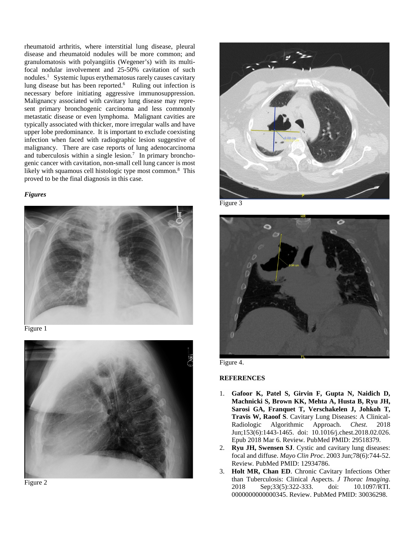rheumatoid arthritis, where interstitial lung disease, pleural disease and rheumatoid nodules will be more common; and granulomatosis with polyangiitis (Wegener's) with its multifocal nodular involvement and 25-50% cavitation of such nodules.<sup>1</sup> Systemic lupus erythematosus rarely causes cavitary lung disease but has been reported.<sup>6</sup> Ruling out infection is necessary before initiating aggressive immunosuppression. Malignancy associated with cavitary lung disease may represent primary bronchogenic carcinoma and less commonly metastatic disease or even lymphoma. Malignant cavities are typically associated with thicker, more irregular walls and have upper lobe predominance. It is important to exclude coexisting infection when faced with radiographic lesion suggestive of malignancy. There are case reports of lung adenocarcinoma and tuberculosis within a single lesion.<sup>7</sup> In primary bronchogenic cancer with cavitation, non-small cell lung cancer is most likely with squamous cell histologic type most common.<sup>8</sup> This proved to be the final diagnosis in this case.

#### *Figures*



Figure 1



Figure 2



Figure 3



Figure 4.

## **REFERENCES**

- 1. **Gafoor K, Patel S, Girvin F, Gupta N, Naidich D, Machnicki S, Brown KK, Mehta A, Husta B, Ryu JH, Sarosi GA, Franquet T, Verschakelen J, Johkoh T, Travis W, Raoof S**. Cavitary Lung Diseases: A Clinical-Radiologic Algorithmic Approach. *Chest*. 2018 Jun;153(6):1443-1465. doi: 10.1016/j.chest.2018.02.026. Epub 2018 Mar 6. Review. PubMed PMID: 29518379.
- 2. **Ryu JH, Swensen SJ**. Cystic and cavitary lung diseases: focal and diffuse. *Mayo Clin Proc*. 2003 Jun;78(6):744-52. Review. PubMed PMID: 12934786.
- 3. **Holt MR, Chan ED**. Chronic Cavitary Infections Other than Tuberculosis: Clinical Aspects. *J Thorac Imaging*. 2018 Sep;33(5):322-333. doi: 10.1097/RTI. 0000000000000345. Review. PubMed PMID: 30036298.